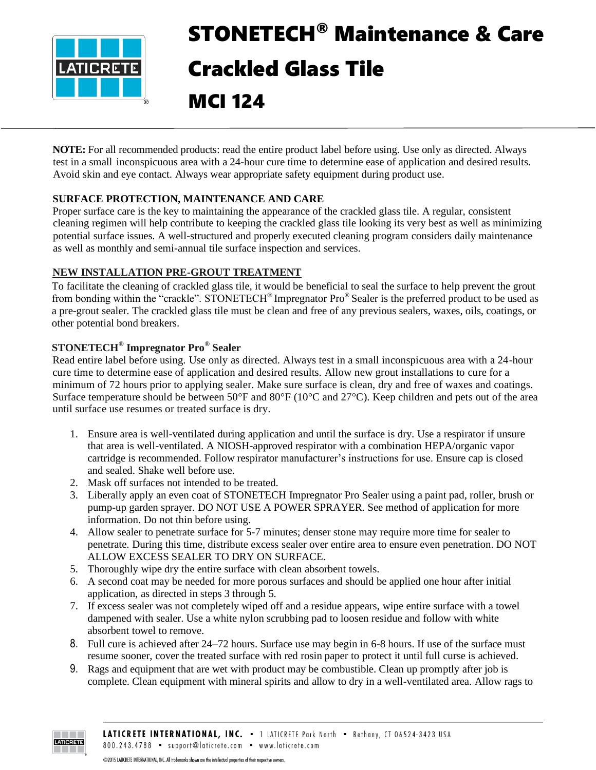

# STONETECH® Maintenance & Care Crackled Glass Tile

MCI 124

**NOTE:** For all recommended products: read the entire product label before using. Use only as directed. Always test in a small inconspicuous area with a 24-hour cure time to determine ease of application and desired results. Avoid skin and eye contact. Always wear appropriate safety equipment during product use.

# **SURFACE PROTECTION, MAINTENANCE AND CARE**

Proper surface care is the key to maintaining the appearance of the crackled glass tile. A regular, consistent cleaning regimen will help contribute to keeping the crackled glass tile looking its very best as well as minimizing potential surface issues. A well-structured and properly executed cleaning program considers daily maintenance as well as monthly and semi-annual tile surface inspection and services.

# **NEW INSTALLATION PRE-GROUT TREATMENT**

To facilitate the cleaning of crackled glass tile, it would be beneficial to seal the surface to help prevent the grout from bonding within the "crackle". STONETECH® Impregnator Pro® Sealer is the preferred product to be used as a pre-grout sealer. The crackled glass tile must be clean and free of any previous sealers, waxes, oils, coatings, or other potential bond breakers.

# **STONETECH® Impregnator Pro® Sealer**

Read entire label before using. Use only as directed. Always test in a small inconspicuous area with a 24-hour cure time to determine ease of application and desired results. Allow new grout installations to cure for a minimum of 72 hours prior to applying sealer. Make sure surface is clean, dry and free of waxes and coatings. Surface temperature should be between 50°F and 80°F (10°C and 27°C). Keep children and pets out of the area until surface use resumes or treated surface is dry.

- 1. Ensure area is well-ventilated during application and until the surface is dry. Use a respirator if unsure that area is well-ventilated. A NIOSH-approved respirator with a combination HEPA/organic vapor cartridge is recommended. Follow respirator manufacturer's instructions for use. Ensure cap is closed and sealed. Shake well before use.
- 2. Mask off surfaces not intended to be treated.
- 3. Liberally apply an even coat of STONETECH Impregnator Pro Sealer using a paint pad, roller, brush or pump-up garden sprayer. DO NOT USE A POWER SPRAYER. See method of application for more information. Do not thin before using.
- 4. Allow sealer to penetrate surface for 5-7 minutes; denser stone may require more time for sealer to penetrate. During this time, distribute excess sealer over entire area to ensure even penetration. DO NOT ALLOW EXCESS SEALER TO DRY ON SURFACE.
- 5. Thoroughly wipe dry the entire surface with clean absorbent towels.
- 6. A second coat may be needed for more porous surfaces and should be applied one hour after initial application, as directed in steps 3 through 5.
- 7. If excess sealer was not completely wiped off and a residue appears, wipe entire surface with a towel dampened with sealer. Use a white nylon scrubbing pad to loosen residue and follow with white absorbent towel to remove.
- 8. Full cure is achieved after 24–72 hours. Surface use may begin in 6-8 hours. If use of the surface must resume sooner, cover the treated surface with red rosin paper to protect it until full curse is achieved.
- 9. Rags and equipment that are wet with product may be combustible. Clean up promptly after job is complete. Clean equipment with mineral spirits and allow to dry in a well-ventilated area. Allow rags to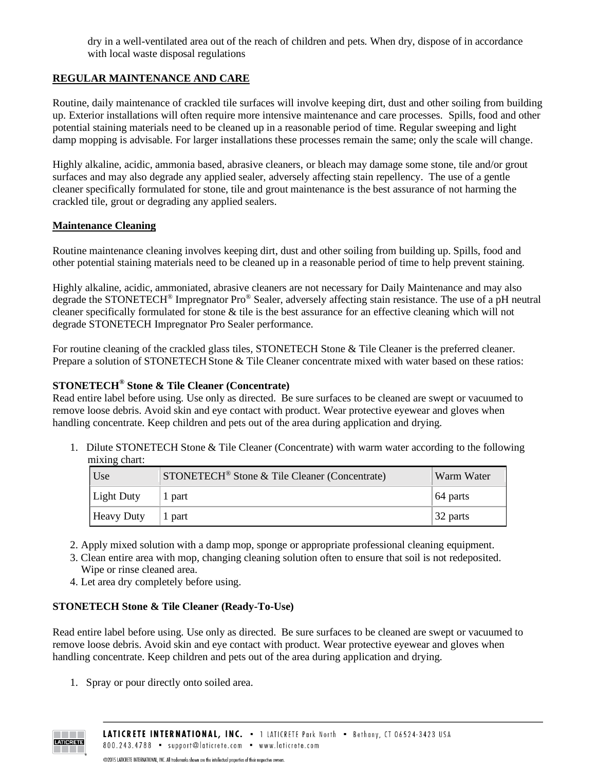dry in a well-ventilated area out of the reach of children and pets. When dry, dispose of in accordance with local waste disposal regulations

## **REGULAR MAINTENANCE AND CARE**

Routine, daily maintenance of crackled tile surfaces will involve keeping dirt, dust and other soiling from building up. Exterior installations will often require more intensive maintenance and care processes. Spills, food and other potential staining materials need to be cleaned up in a reasonable period of time. Regular sweeping and light damp mopping is advisable. For larger installations these processes remain the same; only the scale will change.

Highly alkaline, acidic, ammonia based, abrasive cleaners, or bleach may damage some stone, tile and/or grout surfaces and may also degrade any applied sealer, adversely affecting stain repellency. The use of a gentle cleaner specifically formulated for stone, tile and grout maintenance is the best assurance of not harming the crackled tile, grout or degrading any applied sealers.

#### **Maintenance Cleaning**

Routine maintenance cleaning involves keeping dirt, dust and other soiling from building up. Spills, food and other potential staining materials need to be cleaned up in a reasonable period of time to help prevent staining.

Highly alkaline, acidic, ammoniated, abrasive cleaners are not necessary for Daily Maintenance and may also degrade the STONETECH<sup>®</sup> Impregnator Pro<sup>®</sup> Sealer, adversely affecting stain resistance. The use of a pH neutral cleaner specifically formulated for stone & tile is the best assurance for an effective cleaning which will not degrade STONETECH Impregnator Pro Sealer performance.

For routine cleaning of the crackled glass tiles*,* STONETECH Stone & Tile Cleaner is the preferred cleaner. Prepare a solution of STONETECH Stone & Tile Cleaner concentrate mixed with water based on these ratios:

#### **STONETECH® Stone & Tile Cleaner (Concentrate)**

Read entire label before using. Use only as directed. Be sure surfaces to be cleaned are swept or vacuumed to remove loose debris. Avoid skin and eye contact with product. Wear protective eyewear and gloves when handling concentrate. Keep children and pets out of the area during application and drying.

1. Dilute STONETECH Stone & Tile Cleaner (Concentrate) with warm water according to the following mixing chart:

| Use               | STONETECH <sup>®</sup> Stone & Tile Cleaner (Concentrate) | Warm Water |
|-------------------|-----------------------------------------------------------|------------|
| Light Duty        | 1 part                                                    | 64 parts   |
| <b>Heavy Duty</b> | 1 part                                                    | 32 parts   |

- 2. Apply mixed solution with a damp mop, sponge or appropriate professional cleaning equipment.
- 3. Clean entire area with mop, changing cleaning solution often to ensure that soil is not redeposited. Wipe or rinse cleaned area.
- 4. Let area dry completely before using.

## **STONETECH Stone & Tile Cleaner (Ready-To-Use)**

Read entire label before using. Use only as directed. Be sure surfaces to be cleaned are swept or vacuumed to remove loose debris. Avoid skin and eye contact with product. Wear protective eyewear and gloves when handling concentrate. Keep children and pets out of the area during application and drying.

1. Spray or pour directly onto soiled area.

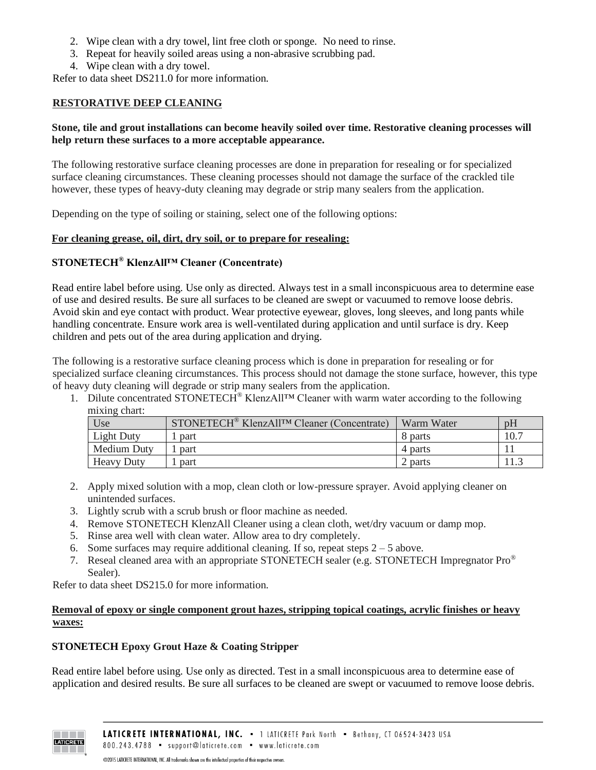- 2. Wipe clean with a dry towel, lint free cloth or sponge. No need to rinse.
- 3. Repeat for heavily soiled areas using a non-abrasive scrubbing pad.
- 4. Wipe clean with a dry towel.

Refer to data sheet DS211.0 for more information.

#### **RESTORATIVE DEEP CLEANING**

#### **Stone, tile and grout installations can become heavily soiled over time. Restorative cleaning processes will help return these surfaces to a more acceptable appearance.**

The following restorative surface cleaning processes are done in preparation for resealing or for specialized surface cleaning circumstances. These cleaning processes should not damage the surface of the crackled tile however, these types of heavy-duty cleaning may degrade or strip many sealers from the application.

Depending on the type of soiling or staining, select one of the following options:

#### **For cleaning grease, oil, dirt, dry soil, or to prepare for resealing:**

# **STONETECH® KlenzAll™ Cleaner (Concentrate)**

Read entire label before using. Use only as directed. Always test in a small inconspicuous area to determine ease of use and desired results. Be sure all surfaces to be cleaned are swept or vacuumed to remove loose debris. Avoid skin and eye contact with product. Wear protective eyewear, gloves, long sleeves, and long pants while handling concentrate. Ensure work area is well-ventilated during application and until surface is dry. Keep children and pets out of the area during application and drying.

The following is a restorative surface cleaning process which is done in preparation for resealing or for specialized surface cleaning circumstances. This process should not damage the stone surface, however, this type of heavy duty cleaning will degrade or strip many sealers from the application.

1. Dilute concentrated STONETECH<sup>®</sup> KlenzAll<sup>TM</sup> Cleaner with warm water according to the following mixing chart:

| Use               | STONETECH <sup>®</sup> KlenzAll <sup>™</sup> Cleaner (Concentrate) | Warm Water | pH   |
|-------------------|--------------------------------------------------------------------|------------|------|
| <b>Light Duty</b> | part                                                               | 8 parts    | 10.7 |
| Medium Duty       | part                                                               | 4 parts    |      |
| <b>Heavy Duty</b> | part                                                               | 2 parts    |      |

- 2. Apply mixed solution with a mop, clean cloth or low-pressure sprayer. Avoid applying cleaner on unintended surfaces.
- 3. Lightly scrub with a scrub brush or floor machine as needed.
- 4. Remove STONETECH KlenzAll Cleaner using a clean cloth, wet/dry vacuum or damp mop.
- 5. Rinse area well with clean water. Allow area to dry completely.
- 6. Some surfaces may require additional cleaning. If so, repeat steps  $2 5$  above.
- 7. Reseal cleaned area with an appropriate STONETECH sealer (e.g. STONETECH Impregnator  $Pro^{\circledast}$ Sealer).

Refer to data sheet DS215.0 for more information.

#### **Removal of epoxy or single component grout hazes, stripping topical coatings, acrylic finishes or heavy waxes:**

## **STONETECH Epoxy Grout Haze & Coating Stripper**

Read entire label before using. Use only as directed. Test in a small inconspicuous area to determine ease of application and desired results. Be sure all surfaces to be cleaned are swept or vacuumed to remove loose debris.



@2015 LATICRETE INTERNATIONAL, INC. All trademarks shown are the intellectual properties of their respective owners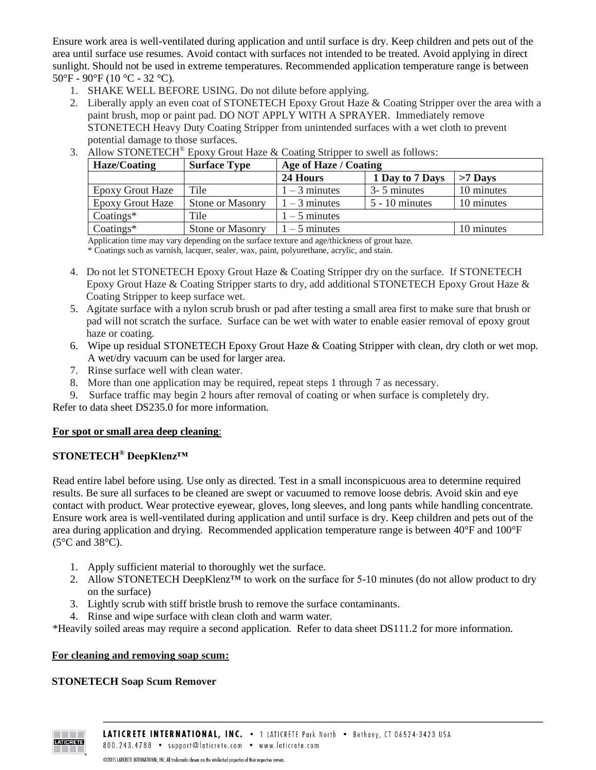Ensure work area is well-ventilated during application and until surface is dry. Keep children and pets out of the area until surface use resumes. Avoid contact with surfaces not intended to be treated. Avoid applying in direct sunlight. Should not be used in extreme temperatures. Recommended application temperature range is between  $50^{\circ}$ F -  $90^{\circ}$ F (10  $^{\circ}$ C - 32  $^{\circ}$ C).

- 1. SHAKE WELL BEFORE USING. Do not dilute before applying.
- 2. Liberally apply an even coat of STONETECH Epoxy Grout Haze & Coating Stripper over the area with a paint brush, mop or paint pad. DO NOT APPLY WITH A SPRAYER. Immediately remove STONETECH Heavy Duty Coating Stripper from unintended surfaces with a wet cloth to prevent potential damage to those surfaces.

| <b>Haze/Coating</b>     | <b>Surface Type</b>     | Age of Haze / Coating |                  |            |
|-------------------------|-------------------------|-----------------------|------------------|------------|
|                         |                         | 24 Hours              | 1 Day to 7 Days  | $>7$ Days  |
| <b>Epoxy Grout Haze</b> | Tile                    | $1 - 3$ minutes       | 3-5 minutes      | 10 minutes |
| <b>Epoxy Grout Haze</b> | <b>Stone or Masonry</b> | $1 - 3$ minutes       | $5 - 10$ minutes | 10 minutes |
| $Coatings*$             | Tile                    | $1 - 5$ minutes       |                  |            |
| $Coatings*$             | Stone or Masonry        | $1 - 5$ minutes       |                  | 10 minutes |

3. Allow STONETECH® Epoxy Grout Haze & Coating Stripper to swell as follows:

Application time may vary depending on the surface texture and age/thickness of grout haze.

\* Coatings such as varnish, lacquer, sealer, wax, paint, polyurethane, acrylic, and stain.

- 4. Do not let STONETECH Epoxy Grout Haze & Coating Stripper dry on the surface. If STONETECH Epoxy Grout Haze & Coating Stripper starts to dry, add additional STONETECH Epoxy Grout Haze & Coating Stripper to keep surface wet.
- 5. Agitate surface with a nylon scrub brush or pad after testing a small area first to make sure that brush or pad will not scratch the surface. Surface can be wet with water to enable easier removal of epoxy grout haze or coating.
- 6. Wipe up residual STONETECH Epoxy Grout Haze & Coating Stripper with clean, dry cloth or wet mop. A wet/dry vacuum can be used for larger area.
- 7. Rinse surface well with clean water.
- 8. More than one application may be required, repeat steps 1 through 7 as necessary.

9. Surface traffic may begin 2 hours after removal of coating or when surface is completely dry. Refer to data sheet DS235.0 for more information.

#### **For spot or small area deep cleaning**:

# **STONETECH® DeepKlenz™**

Read entire label before using. Use only as directed. Test in a small inconspicuous area to determine required results. Be sure all surfaces to be cleaned are swept or vacuumed to remove loose debris. Avoid skin and eye contact with product. Wear protective eyewear, gloves, long sleeves, and long pants while handling concentrate. Ensure work area is well-ventilated during application and until surface is dry. Keep children and pets out of the area during application and drying. Recommended application temperature range is between 40°F and 100°F (5°C and 38°C).

- 1. Apply sufficient material to thoroughly wet the surface.
- 2. Allow STONETECH DeepKlenz<sup>™</sup> to work on the surface for 5-10 minutes (do not allow product to dry on the surface)
- 3. Lightly scrub with stiff bristle brush to remove the surface contaminants.
- 4. Rinse and wipe surface with clean cloth and warm water.

\*Heavily soiled areas may require a second application. Refer to data sheet DS111.2 for more information.

#### **For cleaning and removing soap scum:**

#### **STONETECH Soap Scum Remover**

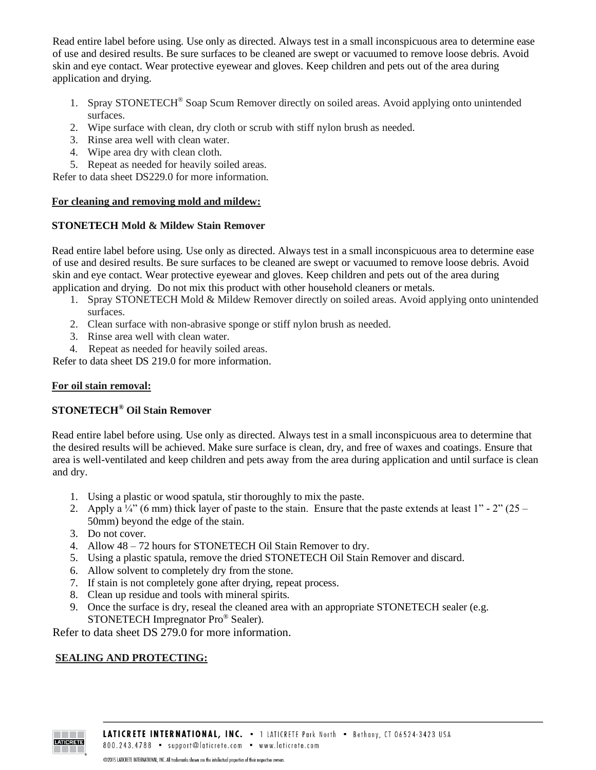Read entire label before using. Use only as directed. Always test in a small inconspicuous area to determine ease of use and desired results. Be sure surfaces to be cleaned are swept or vacuumed to remove loose debris. Avoid skin and eye contact. Wear protective eyewear and gloves. Keep children and pets out of the area during application and drying.

- 1. Spray STONETECH® Soap Scum Remover directly on soiled areas. Avoid applying onto unintended surfaces.
- 2. Wipe surface with clean, dry cloth or scrub with stiff nylon brush as needed.
- 3. Rinse area well with clean water.
- 4. Wipe area dry with clean cloth.
- 5. Repeat as needed for heavily soiled areas.

Refer to data sheet DS229.0 for more information.

## **For cleaning and removing mold and mildew:**

## **STONETECH Mold & Mildew Stain Remover**

Read entire label before using. Use only as directed. Always test in a small inconspicuous area to determine ease of use and desired results. Be sure surfaces to be cleaned are swept or vacuumed to remove loose debris. Avoid skin and eye contact. Wear protective eyewear and gloves. Keep children and pets out of the area during application and drying. Do not mix this product with other household cleaners or metals.

- 1. Spray STONETECH Mold & Mildew Remover directly on soiled areas. Avoid applying onto unintended surfaces.
- 2. Clean surface with non-abrasive sponge or stiff nylon brush as needed.
- 3. Rinse area well with clean water.
- 4. Repeat as needed for heavily soiled areas.

Refer to data sheet DS 219.0 for more information.

## **For oil stain removal:**

# **STONETECH® Oil Stain Remover**

Read entire label before using. Use only as directed. Always test in a small inconspicuous area to determine that the desired results will be achieved. Make sure surface is clean, dry, and free of waxes and coatings. Ensure that area is well-ventilated and keep children and pets away from the area during application and until surface is clean and dry.

- 1. Using a plastic or wood spatula, stir thoroughly to mix the paste.
- 2. Apply a  $\frac{1}{4}$ " (6 mm) thick layer of paste to the stain. Ensure that the paste extends at least 1" 2" (25 50mm) beyond the edge of the stain.
- 3. Do not cover.
- 4. Allow 48 72 hours for STONETECH Oil Stain Remover to dry.
- 5. Using a plastic spatula, remove the dried STONETECH Oil Stain Remover and discard.
- 6. Allow solvent to completely dry from the stone.
- 7. If stain is not completely gone after drying, repeat process.
- 8. Clean up residue and tools with mineral spirits.
- 9. Once the surface is dry, reseal the cleaned area with an appropriate STONETECH sealer (e.g. STONETECH Impregnator Pro® Sealer).

Refer to data sheet DS 279.0 for more information.

# **SEALING AND PROTECTING:**